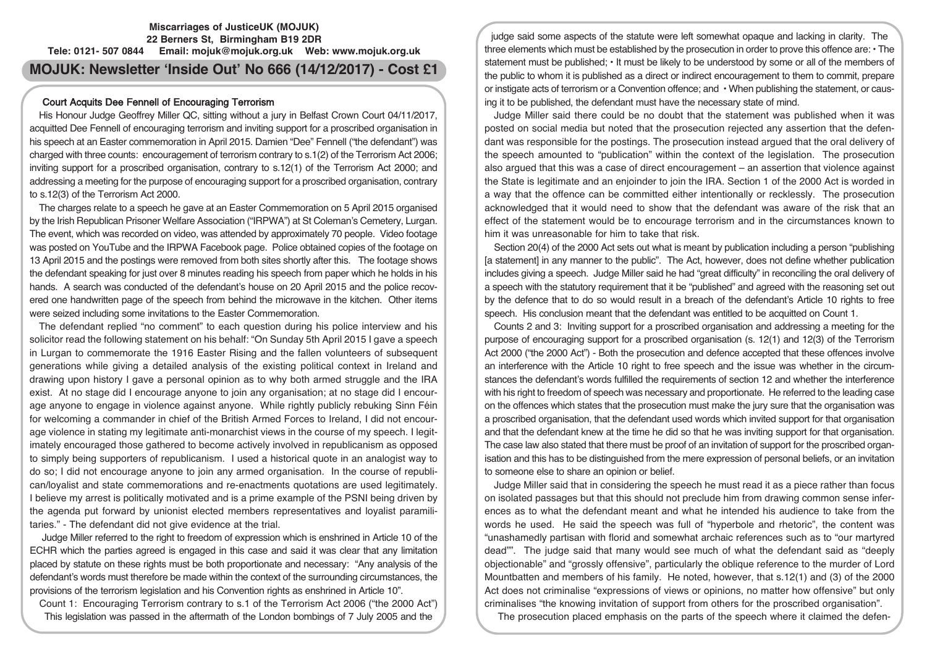# **Miscarriages of JusticeUK (MOJUK) 22 Berners St, Birmingham B19 2DR Tele: 0121- 507 0844 Email: mojuk@mojuk.org.uk Web: www.mojuk.org.uk**

# **MOJUK: Newsletter 'Inside Out' No 666 (14/12/2017) - Cost £1**

# Court Acquits Dee Fennell of Encouraging Terrorism

His Honour Judge Geoffrey Miller QC, sitting without a jury in Belfast Crown Court 04/11/2017, acquitted Dee Fennell of encouraging terrorism and inviting support for a proscribed organisation in his speech at an Easter commemoration in April 2015. Damien "Dee" Fennell ("the defendant") was charged with three counts: encouragement of terrorism contrary to s.1(2) of the Terrorism Act 2006; inviting support for a proscribed organisation, contrary to s.12(1) of the Terrorism Act 2000; and addressing a meeting for the purpose of encouraging support for a proscribed organisation, contrary to s.12(3) of the Terrorism Act 2000.

The charges relate to a speech he gave at an Easter Commemoration on 5 April 2015 organised by the Irish Republican Prisoner Welfare Association ("IRPWA") at St Coleman's Cemetery, Lurgan. The event, which was recorded on video, was attended by approximately 70 people. Video footage was posted on YouTube and the IRPWA Facebook page. Police obtained copies of the footage on 13 April 2015 and the postings were removed from both sites shortly after this. The footage shows the defendant speaking for just over 8 minutes reading his speech from paper which he holds in his hands. A search was conducted of the defendant's house on 20 April 2015 and the police recovered one handwritten page of the speech from behind the microwave in the kitchen. Other items were seized including some invitations to the Easter Commemoration.

The defendant replied "no comment" to each question during his police interview and his solicitor read the following statement on his behalf: "On Sunday 5th April 2015 I gave a speech in Lurgan to commemorate the 1916 Easter Rising and the fallen volunteers of subsequent generations while giving a detailed analysis of the existing political context in Ireland and drawing upon history I gave a personal opinion as to why both armed struggle and the IRA exist. At no stage did I encourage anyone to join any organisation; at no stage did I encourage anyone to engage in violence against anyone. While rightly publicly rebuking Sinn Féin for welcoming a commander in chief of the British Armed Forces to Ireland, I did not encourage violence in stating my legitimate anti-monarchist views in the course of my speech. I legitimately encouraged those gathered to become actively involved in republicanism as opposed to simply being supporters of republicanism. I used a historical quote in an analogist way to do so; I did not encourage anyone to join any armed organisation. In the course of republican/loyalist and state commemorations and re-enactments quotations are used legitimately. I believe my arrest is politically motivated and is a prime example of the PSNI being driven by the agenda put forward by unionist elected members representatives and loyalist paramilitaries." - The defendant did not give evidence at the trial.

Judge Miller referred to the right to freedom of expression which is enshrined in Article 10 of the ECHR which the parties agreed is engaged in this case and said it was clear that any limitation placed by statute on these rights must be both proportionate and necessary: "Any analysis of the defendant's words must therefore be made within the context of the surrounding circumstances, the provisions of the terrorism legislation and his Convention rights as enshrined in Article 10".

Count 1: Encouraging Terrorism contrary to s.1 of the Terrorism Act 2006 ("the 2000 Act") This legislation was passed in the aftermath of the London bombings of 7 July 2005 and the

judge said some aspects of the statute were left somewhat opaque and lacking in clarity. The three elements which must be established by the prosecution in order to prove this offence are: • The statement must be published; • It must be likely to be understood by some or all of the members of the public to whom it is published as a direct or indirect encouragement to them to commit, prepare or instigate acts of terrorism or a Convention offence; and • When publishing the statement, or causing it to be published, the defendant must have the necessary state of mind.

Judge Miller said there could be no doubt that the statement was published when it was posted on social media but noted that the prosecution rejected any assertion that the defendant was responsible for the postings. The prosecution instead argued that the oral delivery of the speech amounted to "publication" within the context of the legislation. The prosecution also argued that this was a case of direct encouragement – an assertion that violence against the State is legitimate and an enjoinder to join the IRA. Section 1 of the 2000 Act is worded in a way that the offence can be committed either intentionally or recklessly. The prosecution acknowledged that it would need to show that the defendant was aware of the risk that an effect of the statement would be to encourage terrorism and in the circumstances known to him it was unreasonable for him to take that risk.

Section 20(4) of the 2000 Act sets out what is meant by publication including a person "publishing [a statement] in any manner to the public". The Act, however, does not define whether publication includes giving a speech. Judge Miller said he had "great difficulty" in reconciling the oral delivery of a speech with the statutory requirement that it be "published" and agreed with the reasoning set out by the defence that to do so would result in a breach of the defendant's Article 10 rights to free speech. His conclusion meant that the defendant was entitled to be acquitted on Count 1.

Counts 2 and 3: Inviting support for a proscribed organisation and addressing a meeting for the purpose of encouraging support for a proscribed organisation (s. 12(1) and 12(3) of the Terrorism Act 2000 ("the 2000 Act") - Both the prosecution and defence accepted that these offences involve an interference with the Article 10 right to free speech and the issue was whether in the circumstances the defendant's words fulfilled the requirements of section 12 and whether the interference with his right to freedom of speech was necessary and proportionate. He referred to the leading case on the offences which states that the prosecution must make the jury sure that the organisation was a proscribed organisation, that the defendant used words which invited support for that organisation and that the defendant knew at the time he did so that he was inviting support for that organisation. The case law also stated that there must be proof of an invitation of support for the proscribed organisation and this has to be distinguished from the mere expression of personal beliefs, or an invitation to someone else to share an opinion or belief.

Judge Miller said that in considering the speech he must read it as a piece rather than focus on isolated passages but that this should not preclude him from drawing common sense inferences as to what the defendant meant and what he intended his audience to take from the words he used. He said the speech was full of "hyperbole and rhetoric", the content was "unashamedly partisan with florid and somewhat archaic references such as to "our martyred dead"". The judge said that many would see much of what the defendant said as "deeply objectionable" and "grossly offensive", particularly the oblique reference to the murder of Lord Mountbatten and members of his family. He noted, however, that s.12(1) and (3) of the 2000 Act does not criminalise "expressions of views or opinions, no matter how offensive" but only criminalises "the knowing invitation of support from others for the proscribed organisation".

The prosecution placed emphasis on the parts of the speech where it claimed the defen-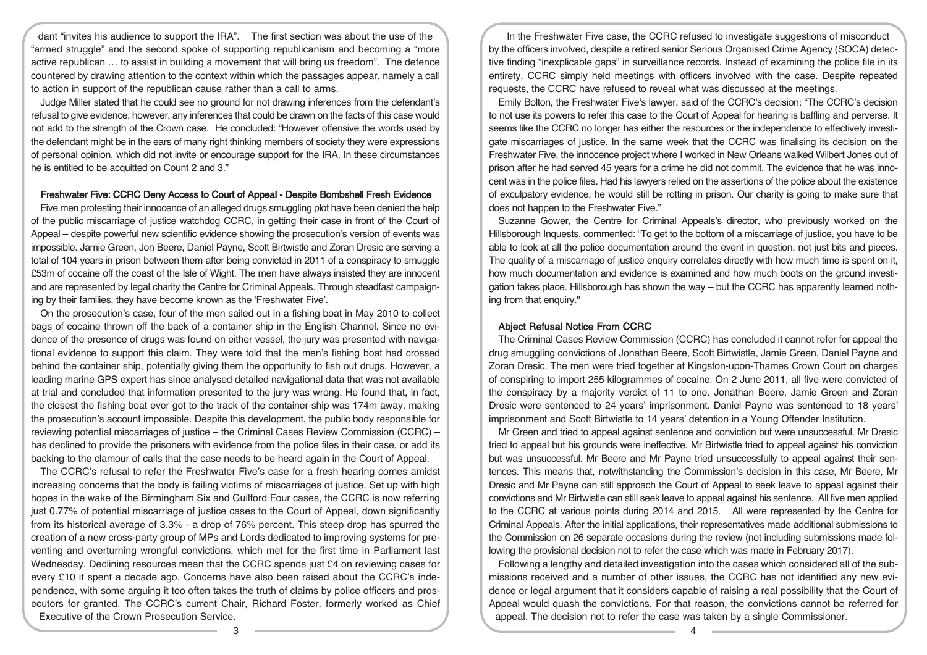dant "invites his audience to support the IRA". The first section was about the use of the "armed struggle" and the second spoke of supporting republicanism and becoming a "more active republican … to assist in building a movement that will bring us freedom". The defence countered by drawing attention to the context within which the passages appear, namely a call to action in support of the republican cause rather than a call to arms.

Judge Miller stated that he could see no ground for not drawing inferences from the defendant's refusal to give evidence, however, any inferences that could be drawn on the facts of this case would not add to the strength of the Crown case. He concluded: "However offensive the words used by the defendant might be in the ears of many right thinking members of society they were expressions of personal opinion, which did not invite or encourage support for the IRA. In these circumstances he is entitled to be acquitted on Count 2 and 3."

## Freshwater Five: CCRC Deny Access to Court of Appeal - Despite Bombshell Fresh Evidence

Five men protesting their innocence of an alleged drugs smuggling plot have been denied the help of the public miscarriage of justice watchdog CCRC, in getting their case in front of the Court of Appeal – despite powerful new scientific evidence showing the prosecution's version of events was impossible. Jamie Green, Jon Beere, Daniel Payne, Scott Birtwistle and Zoran Dresic are serving a total of 104 years in prison between them after being convicted in 2011 of a conspiracy to smuggle £53m of cocaine off the coast of the Isle of Wight. The men have always insisted they are innocent and are represented by legal charity the Centre for Criminal Appeals. Through steadfast campaigning by their families, they have become known as the 'Freshwater Five'.

On the prosecution's case, four of the men sailed out in a fishing boat in May 2010 to collect bags of cocaine thrown off the back of a container ship in the English Channel. Since no evidence of the presence of drugs was found on either vessel, the jury was presented with navigational evidence to support this claim. They were told that the men's fishing boat had crossed behind the container ship, potentially giving them the opportunity to fish out drugs. However, a leading marine GPS expert has since analysed detailed navigational data that was not available at trial and concluded that information presented to the jury was wrong. He found that, in fact, the closest the fishing boat ever got to the track of the container ship was 174m away, making the prosecution's account impossible. Despite this development, the public body responsible for reviewing potential miscarriages of justice – the Criminal Cases Review Commission (CCRC) – has declined to provide the prisoners with evidence from the police files in their case, or add its backing to the clamour of calls that the case needs to be heard again in the Court of Appeal.

The CCRC's refusal to refer the Freshwater Five's case for a fresh hearing comes amidst increasing concerns that the body is failing victims of miscarriages of justice. Set up with high hopes in the wake of the Birmingham Six and Guilford Four cases, the CCRC is now referring just 0.77% of potential miscarriage of justice cases to the Court of Appeal, down significantly from its historical average of 3.3% - a drop of 76% percent. This steep drop has spurred the creation of a new cross-party group of MPs and Lords dedicated to improving systems for preventing and overturning wrongful convictions, which met for the first time in Parliament last Wednesday. Declining resources mean that the CCRC spends just £4 on reviewing cases for every £10 it spent a decade ago. Concerns have also been raised about the CCRC's independence, with some arguing it too often takes the truth of claims by police officers and prosecutors for granted. The CCRC's current Chair, Richard Foster, formerly worked as Chief Executive of the Crown Prosecution Service.

In the Freshwater Five case, the CCRC refused to investigate suggestions of misconduct by the officers involved, despite a retired senior Serious Organised Crime Agency (SOCA) detective finding "inexplicable gaps" in surveillance records. Instead of examining the police file in its entirety, CCRC simply held meetings with officers involved with the case. Despite repeated requests, the CCRC have refused to reveal what was discussed at the meetings.

Emily Bolton, the Freshwater Five's lawyer, said of the CCRC's decision: "The CCRC's decision to not use its powers to refer this case to the Court of Appeal for hearing is baffling and perverse. It seems like the CCRC no longer has either the resources or the independence to effectively investigate miscarriages of justice. In the same week that the CCRC was finalising its decision on the Freshwater Five, the innocence project where I worked in New Orleans walked Wilbert Jones out of prison after he had served 45 years for a crime he did not commit. The evidence that he was innocent was in the police files. Had his lawyers relied on the assertions of the police about the existence of exculpatory evidence, he would still be rotting in prison. Our charity is going to make sure that does not happen to the Freshwater Five."

Suzanne Gower, the Centre for Criminal Appeals's director, who previously worked on the Hillsborough Inquests, commented: "To get to the bottom of a miscarriage of justice, you have to be able to look at all the police documentation around the event in question, not just bits and pieces. The quality of a miscarriage of justice enquiry correlates directly with how much time is spent on it, how much documentation and evidence is examined and how much boots on the ground investigation takes place. Hillsborough has shown the way – but the CCRC has apparently learned nothing from that enquiry."

#### Abject Refusal Notice From CCRC

The Criminal Cases Review Commission (CCRC) has concluded it cannot refer for appeal the drug smuggling convictions of Jonathan Beere, Scott Birtwistle, Jamie Green, Daniel Payne and Zoran Dresic. The men were tried together at Kingston-upon-Thames Crown Court on charges of conspiring to import 255 kilogrammes of cocaine. On 2 June 2011, all five were convicted of the conspiracy by a majority verdict of 11 to one. Jonathan Beere, Jamie Green and Zoran Dresic were sentenced to 24 years' imprisonment. Daniel Payne was sentenced to 18 years' imprisonment and Scott Birtwistle to 14 years' detention in a Young Offender Institution.

Mr Green and tried to appeal against sentence and conviction but were unsuccessful. Mr Dresic tried to appeal but his grounds were ineffective. Mr Birtwistle tried to appeal against his conviction but was unsuccessful. Mr Beere and Mr Payne tried unsuccessfully to appeal against their sentences. This means that, notwithstanding the Commission's decision in this case, Mr Beere, Mr Dresic and Mr Payne can still approach the Court of Appeal to seek leave to appeal against their convictions and Mr Birtwistle can still seek leave to appeal against his sentence. All five men applied to the CCRC at various points during 2014 and 2015. All were represented by the Centre for Criminal Appeals. After the initial applications, their representatives made additional submissions to the Commission on 26 separate occasions during the review (not including submissions made following the provisional decision not to refer the case which was made in February 2017).

Following a lengthy and detailed investigation into the cases which considered all of the submissions received and a number of other issues, the CCRC has not identified any new evidence or legal argument that it considers capable of raising a real possibility that the Court of Appeal would quash the convictions. For that reason, the convictions cannot be referred for appeal. The decision not to refer the case was taken by a single Commissioner.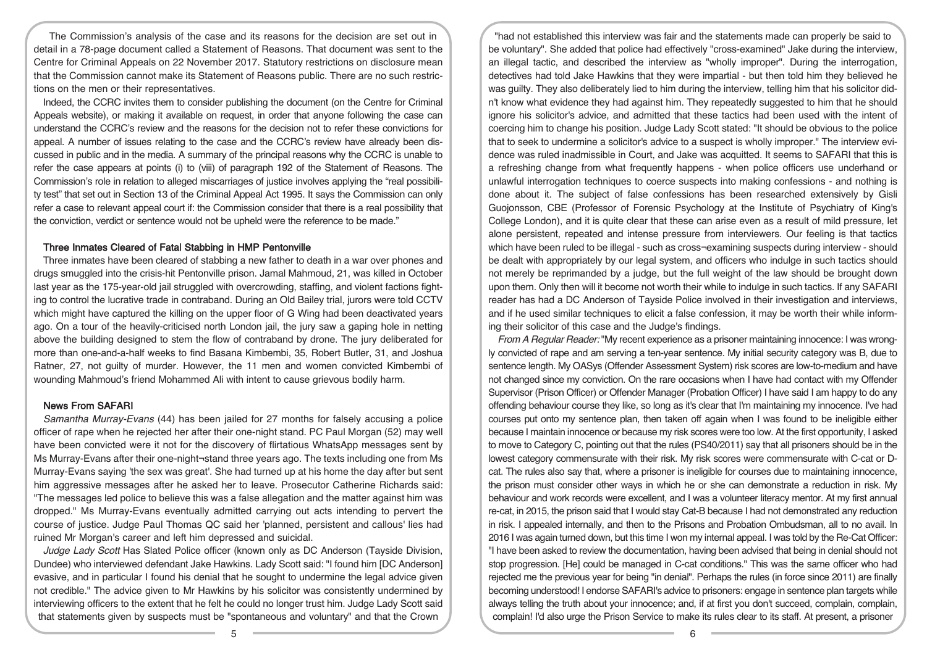The Commission's analysis of the case and its reasons for the decision are set out in detail in a 78-page document called a Statement of Reasons. That document was sent to the Centre for Criminal Appeals on 22 November 2017. Statutory restrictions on disclosure mean that the Commission cannot make its Statement of Reasons public. There are no such restrictions on the men or their representatives.

Indeed, the CCRC invites them to consider publishing the document (on the Centre for Criminal Appeals website), or making it available on request, in order that anyone following the case can understand the CCRC's review and the reasons for the decision not to refer these convictions for appeal. A number of issues relating to the case and the CCRC's review have already been discussed in public and in the media. A summary of the principal reasons why the CCRC is unable to refer the case appears at points (i) to (viii) of paragraph 192 of the Statement of Reasons. The Commission's role in relation to alleged miscarriages of justice involves applying the "real possibility test" that set out in Section 13 of the Criminal Appeal Act 1995. It says the Commission can only refer a case to relevant appeal court if: the Commission consider that there is a real possibility that the conviction, verdict or sentence would not be upheld were the reference to be made."

#### Three Inmates Cleared of Fatal Stabbing in HMP Pentonville

Three inmates have been cleared of stabbing a new father to death in a war over phones and drugs smuggled into the crisis-hit Pentonville prison. Jamal Mahmoud, 21, was killed in October last year as the 175-year-old jail struggled with overcrowding, staffing, and violent factions fighting to control the lucrative trade in contraband. During an Old Bailey trial, jurors were told CCTV which might have captured the killing on the upper floor of G Wing had been deactivated years ago. On a tour of the heavily-criticised north London jail, the jury saw a gaping hole in netting above the building designed to stem the flow of contraband by drone. The jury deliberated for more than one-and-a-half weeks to find Basana Kimbembi, 35, Robert Butler, 31, and Joshua Ratner, 27, not guilty of murder. However, the 11 men and women convicted Kimbembi of wounding Mahmoud's friend Mohammed Ali with intent to cause grievous bodily harm.

## News From SAFARI

Samantha Murray-Evans (44) has been jailed for 27 months for falsely accusing a police officer of rape when he rejected her after their one-night stand. PC Paul Morgan (52) may well have been convicted were it not for the discovery of flirtatious WhatsApp messages sent by Ms Murray-Evans after their one-night¬stand three years ago. The texts including one from Ms Murray-Evans saying 'the sex was great'. She had turned up at his home the day after but sent him aggressive messages after he asked her to leave. Prosecutor Catherine Richards said: "The messages led police to believe this was a false allegation and the matter against him was dropped." Ms Murray-Evans eventually admitted carrying out acts intending to pervert the course of justice. Judge Paul Thomas QC said her 'planned, persistent and callous' lies had ruined Mr Morgan's career and left him depressed and suicidal.

Judge Lady Scott Has Slated Police officer (known only as DC Anderson (Tayside Division, Dundee) who interviewed defendant Jake Hawkins. Lady Scott said: "I found him [DC Anderson] evasive, and in particular I found his denial that he sought to undermine the legal advice given not credible." The advice given to Mr Hawkins by his solicitor was consistently undermined by interviewing officers to the extent that he felt he could no longer trust him. Judge Lady Scott said that statements given by suspects must be "spontaneous and voluntary" and that the Crown

"had not established this interview was fair and the statements made can properly be said to be voluntary". She added that police had effectively "cross-examined" Jake during the interview, an illegal tactic, and described the interview as "wholly improper". During the interrogation, detectives had told Jake Hawkins that they were impartial - but then told him they believed he was guilty. They also deliberately lied to him during the interview, telling him that his solicitor didn't know what evidence they had against him. They repeatedly suggested to him that he should ignore his solicitor's advice, and admitted that these tactics had been used with the intent of coercing him to change his position. Judge Lady Scott stated: "It should be obvious to the police that to seek to undermine a solicitor's advice to a suspect is wholly improper." The interview evidence was ruled inadmissible in Court, and Jake was acquitted. It seems to SAFARI that this is a refreshing change from what frequently happens - when police officers use underhand or unlawful interrogation techniques to coerce suspects into making confessions - and nothing is done about it. The subject of false confessions has been researched extensively by Gisli Guojonsson, CBE (Professor of Forensic Psychology at the Institute of Psychiatry of King's College London), and it is quite clear that these can arise even as a result of mild pressure, let alone persistent, repeated and intense pressure from interviewers. Our feeling is that tactics which have been ruled to be illegal - such as cross¬examining suspects during interview - should be dealt with appropriately by our legal system, and officers who indulge in such tactics should not merely be reprimanded by a judge, but the full weight of the law should be brought down upon them. Only then will it become not worth their while to indulge in such tactics. If any SAFARI reader has had a DC Anderson of Tayside Police involved in their investigation and interviews, and if he used similar techniques to elicit a false confession, it may be worth their while informing their solicitor of this case and the Judge's findings.

From A Regular Reader: "My recent experience as a prisoner maintaining innocence: I was wrongly convicted of rape and am serving a ten-year sentence. My initial security category was B, due to sentence length. My OASys (Offender Assessment System) risk scores are low-to-medium and have not changed since my conviction. On the rare occasions when I have had contact with my Offender Supervisor (Prison Officer) or Offender Manager (Probation Officer) I have said I am happy to do any offending behaviour course they like, so long as it's clear that I'm maintaining my innocence. I've had courses put onto my sentence plan, then taken off again when I was found to be ineligible either because I maintain innocence or because my risk scores were too low. At the first opportunity, I asked to move to Category C, pointing out that the rules (PS40/2011) say that all prisoners should be in the lowest category commensurate with their risk. My risk scores were commensurate with C-cat or Dcat. The rules also say that, where a prisoner is ineligible for courses due to maintaining innocence, the prison must consider other ways in which he or she can demonstrate a reduction in risk. My behaviour and work records were excellent, and I was a volunteer literacy mentor. At my first annual re-cat, in 2015, the prison said that I would stay Cat-B because I had not demonstrated any reduction in risk. I appealed internally, and then to the Prisons and Probation Ombudsman, all to no avail. In 2016 I was again turned down, but this time I won my internal appeal. I was told by the Re-Cat Officer: "I have been asked to review the documentation, having been advised that being in denial should not stop progression. [He] could be managed in C-cat conditions." This was the same officer who had rejected me the previous year for being "in denial". Perhaps the rules (in force since 2011) are finally becoming understood! I endorse SAFARI's advice to prisoners: engage in sentence plan targets while always telling the truth about your innocence; and, if at first you don't succeed, complain, complain, complain! I'd also urge the Prison Service to make its rules clear to its staff. At present, a prisoner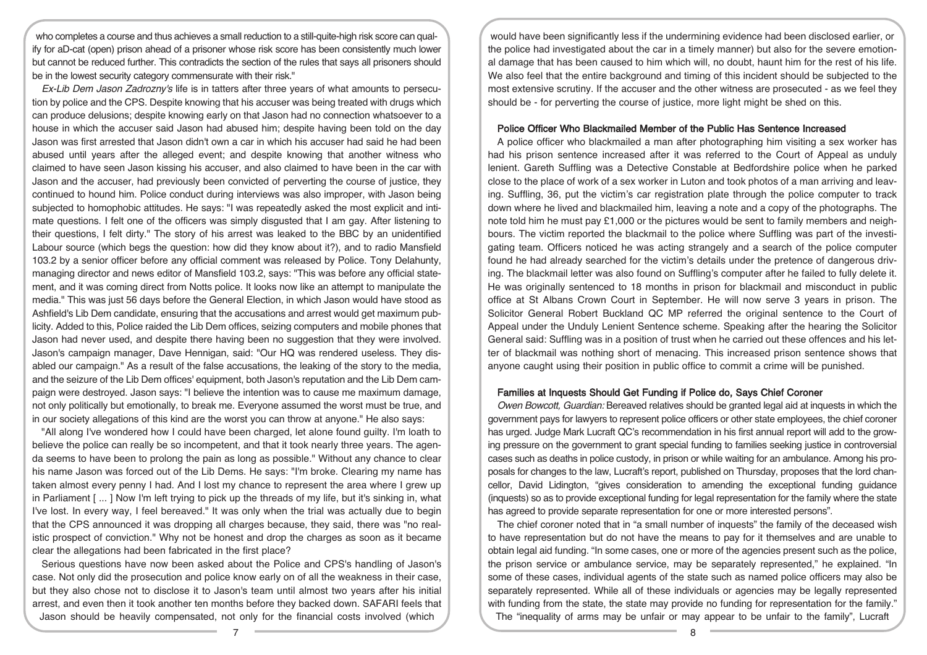who completes a course and thus achieves a small reduction to a still-quite-high risk score can qualify for aD-cat (open) prison ahead of a prisoner whose risk score has been consistently much lower but cannot be reduced further. This contradicts the section of the rules that says all prisoners should be in the lowest security category commensurate with their risk."

Ex-Lib Dem Jason Zadrozny's life is in tatters after three years of what amounts to persecution by police and the CPS. Despite knowing that his accuser was being treated with drugs which can produce delusions; despite knowing early on that Jason had no connection whatsoever to a house in which the accuser said Jason had abused him; despite having been told on the day Jason was first arrested that Jason didn't own a car in which his accuser had said he had been abused until years after the alleged event; and despite knowing that another witness who claimed to have seen Jason kissing his accuser, and also claimed to have been in the car with Jason and the accuser, had previously been convicted of perverting the course of justice, they continued to hound him. Police conduct during interviews was also improper, with Jason being subjected to homophobic attitudes. He says: "I was repeatedly asked the most explicit and intimate questions. I felt one of the officers was simply disgusted that I am gay. After listening to their questions, I felt dirty." The story of his arrest was leaked to the BBC by an unidentified Labour source (which begs the question: how did they know about it?), and to radio Mansfield 103.2 by a senior officer before any official comment was released by Police. Tony Delahunty, managing director and news editor of Mansfield 103.2, says: "This was before any official statement, and it was coming direct from Notts police. It looks now like an attempt to manipulate the media." This was just 56 days before the General Election, in which Jason would have stood as Ashfield's Lib Dem candidate, ensuring that the accusations and arrest would get maximum publicity. Added to this, Police raided the Lib Dem offices, seizing computers and mobile phones that Jason had never used, and despite there having been no suggestion that they were involved. Jason's campaign manager, Dave Hennigan, said: "Our HQ was rendered useless. They disabled our campaign." As a result of the false accusations, the leaking of the story to the media, and the seizure of the Lib Dem offices' equipment, both Jason's reputation and the Lib Dem campaign were destroyed. Jason says: "I believe the intention was to cause me maximum damage, not only politically but emotionally, to break me. Everyone assumed the worst must be true, and in our society allegations of this kind are the worst you can throw at anyone." He also says:

"All along I've wondered how I could have been charged, let alone found guilty. I'm loath to believe the police can really be so incompetent, and that it took nearly three years. The agenda seems to have been to prolong the pain as long as possible." Without any chance to clear his name Jason was forced out of the Lib Dems. He says: "I'm broke. Clearing my name has taken almost every penny I had. And I lost my chance to represent the area where I grew up in Parliament [ ... ] Now I'm left trying to pick up the threads of my life, but it's sinking in, what I've lost. In every way, I feel bereaved." It was only when the trial was actually due to begin that the CPS announced it was dropping all charges because, they said, there was "no realistic prospect of conviction." Why not be honest and drop the charges as soon as it became clear the allegations had been fabricated in the first place?

Serious questions have now been asked about the Police and CPS's handling of Jason's case. Not only did the prosecution and police know early on of all the weakness in their case, but they also chose not to disclose it to Jason's team until almost two years after his initial arrest, and even then it took another ten months before they backed down. SAFARI feels that Jason should be heavily compensated, not only for the financial costs involved (which

would have been significantly less if the undermining evidence had been disclosed earlier, or the police had investigated about the car in a timely manner) but also for the severe emotional damage that has been caused to him which will, no doubt, haunt him for the rest of his life. We also feel that the entire background and timing of this incident should be subjected to the most extensive scrutiny. If the accuser and the other witness are prosecuted - as we feel they should be - for perverting the course of justice, more light might be shed on this.

## Police Officer Who Blackmailed Member of the Public Has Sentence Increased

A police officer who blackmailed a man after photographing him visiting a sex worker has had his prison sentence increased after it was referred to the Court of Appeal as unduly lenient. Gareth Suffling was a Detective Constable at Bedfordshire police when he parked close to the place of work of a sex worker in Luton and took photos of a man arriving and leaving. Suffling, 36, put the victim's car registration plate through the police computer to track down where he lived and blackmailed him, leaving a note and a copy of the photographs. The note told him he must pay £1,000 or the pictures would be sent to family members and neighbours. The victim reported the blackmail to the police where Suffling was part of the investigating team. Officers noticed he was acting strangely and a search of the police computer found he had already searched for the victim's details under the pretence of dangerous driving. The blackmail letter was also found on Suffling's computer after he failed to fully delete it. He was originally sentenced to 18 months in prison for blackmail and misconduct in public office at St Albans Crown Court in September. He will now serve 3 years in prison. The Solicitor General Robert Buckland QC MP referred the original sentence to the Court of Appeal under the Unduly Lenient Sentence scheme. Speaking after the hearing the Solicitor General said: Suffling was in a position of trust when he carried out these offences and his letter of blackmail was nothing short of menacing. This increased prison sentence shows that anyone caught using their position in public office to commit a crime will be punished.

#### Families at Inquests Should Get Funding if Police do, Says Chief Coroner

Owen Bowcott, Guardian: Bereaved relatives should be granted legal aid at inquests in which the government pays for lawyers to represent police officers or other state employees, the chief coroner has urged. Judge Mark Lucraft QC's recommendation in his first annual report will add to the growing pressure on the government to grant special funding to families seeking justice in controversial cases such as deaths in police custody, in prison or while waiting for an ambulance. Among his proposals for changes to the law, Lucraft's report, published on Thursday, proposes that the lord chancellor, David Lidington, "gives consideration to amending the exceptional funding guidance (inquests) so as to provide exceptional funding for legal representation for the family where the state has agreed to provide separate representation for one or more interested persons".

The chief coroner noted that in "a small number of inquests" the family of the deceased wish to have representation but do not have the means to pay for it themselves and are unable to obtain legal aid funding. "In some cases, one or more of the agencies present such as the police, the prison service or ambulance service, may be separately represented," he explained. "In some of these cases, individual agents of the state such as named police officers may also be separately represented. While all of these individuals or agencies may be legally represented with funding from the state, the state may provide no funding for representation for the family." The "inequality of arms may be unfair or may appear to be unfair to the family", Lucraft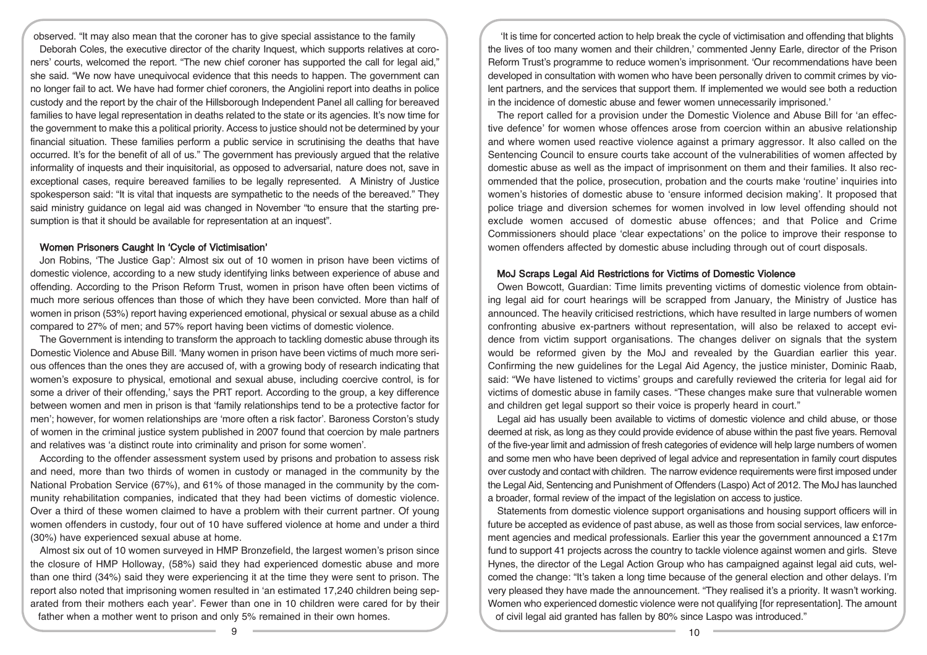observed. "It may also mean that the coroner has to give special assistance to the family Deborah Coles, the executive director of the charity Inquest, which supports relatives at coroners' courts, welcomed the report. "The new chief coroner has supported the call for legal aid," she said. "We now have unequivocal evidence that this needs to happen. The government can no longer fail to act. We have had former chief coroners, the Angiolini report into deaths in police custody and the report by the chair of the Hillsborough Independent Panel all calling for bereaved families to have legal representation in deaths related to the state or its agencies. It's now time for the government to make this a political priority. Access to justice should not be determined by your financial situation. These families perform a public service in scrutinising the deaths that have occurred. It's for the benefit of all of us." The government has previously argued that the relative informality of inquests and their inquisitorial, as opposed to adversarial, nature does not, save in exceptional cases, require bereaved families to be legally represented. A Ministry of Justice spokesperson said: "It is vital that inquests are sympathetic to the needs of the bereaved." They said ministry guidance on legal aid was changed in November "to ensure that the starting presumption is that it should be available for representation at an inquest".

#### Women Prisoners Caught In 'Cycle of Victimisation'

Jon Robins, 'The Justice Gap': Almost six out of 10 women in prison have been victims of domestic violence, according to a new study identifying links between experience of abuse and offending. According to the Prison Reform Trust, women in prison have often been victims of much more serious offences than those of which they have been convicted. More than half of women in prison (53%) report having experienced emotional, physical or sexual abuse as a child compared to 27% of men; and 57% report having been victims of domestic violence.

The Government is intending to transform the approach to tackling domestic abuse through its Domestic Violence and Abuse Bill. 'Many women in prison have been victims of much more serious offences than the ones they are accused of, with a growing body of research indicating that women's exposure to physical, emotional and sexual abuse, including coercive control, is for some a driver of their offending,' says the PRT report. According to the group, a key difference between women and men in prison is that 'family relationships tend to be a protective factor for men'; however, for women relationships are 'more often a risk factor'. Baroness Corston's study of women in the criminal justice system published in 2007 found that coercion by male partners and relatives was 'a distinct route into criminality and prison for some women'.

According to the offender assessment system used by prisons and probation to assess risk and need, more than two thirds of women in custody or managed in the community by the National Probation Service (67%), and 61% of those managed in the community by the community rehabilitation companies, indicated that they had been victims of domestic violence. Over a third of these women claimed to have a problem with their current partner. Of young women offenders in custody, four out of 10 have suffered violence at home and under a third (30%) have experienced sexual abuse at home.

Almost six out of 10 women surveyed in HMP Bronzefield, the largest women's prison since the closure of HMP Holloway, (58%) said they had experienced domestic abuse and more than one third (34%) said they were experiencing it at the time they were sent to prison. The report also noted that imprisoning women resulted in 'an estimated 17,240 children being separated from their mothers each year'. Fewer than one in 10 children were cared for by their father when a mother went to prison and only 5% remained in their own homes.

'It is time for concerted action to help break the cycle of victimisation and offending that blights the lives of too many women and their children,' commented Jenny Earle, director of the Prison Reform Trust's programme to reduce women's imprisonment. 'Our recommendations have been developed in consultation with women who have been personally driven to commit crimes by violent partners, and the services that support them. If implemented we would see both a reduction in the incidence of domestic abuse and fewer women unnecessarily imprisoned.'

The report called for a provision under the Domestic Violence and Abuse Bill for 'an effective defence' for women whose offences arose from coercion within an abusive relationship and where women used reactive violence against a primary aggressor. It also called on the Sentencing Council to ensure courts take account of the vulnerabilities of women affected by domestic abuse as well as the impact of imprisonment on them and their families. It also recommended that the police, prosecution, probation and the courts make 'routine' inquiries into women's histories of domestic abuse to 'ensure informed decision making'. It proposed that police triage and diversion schemes for women involved in low level offending should not exclude women accused of domestic abuse offences; and that Police and Crime Commissioners should place 'clear expectations' on the police to improve their response to women offenders affected by domestic abuse including through out of court disposals.

## MoJ Scraps Legal Aid Restrictions for Victims of Domestic Violence

Owen Bowcott, Guardian: Time limits preventing victims of domestic violence from obtaining legal aid for court hearings will be scrapped from January, the Ministry of Justice has announced. The heavily criticised restrictions, which have resulted in large numbers of women confronting abusive ex-partners without representation, will also be relaxed to accept evidence from victim support organisations. The changes deliver on signals that the system would be reformed given by the MoJ and revealed by the Guardian earlier this year. Confirming the new guidelines for the Legal Aid Agency, the justice minister, Dominic Raab, said: "We have listened to victims' groups and carefully reviewed the criteria for legal aid for victims of domestic abuse in family cases. "These changes make sure that vulnerable women and children get legal support so their voice is properly heard in court."

Legal aid has usually been available to victims of domestic violence and child abuse, or those deemed at risk, as long as they could provide evidence of abuse within the past five years. Removal of the five-year limit and admission of fresh categories of evidence will help large numbers of women and some men who have been deprived of legal advice and representation in family court disputes over custody and contact with children. The narrow evidence requirements were first imposed under the Legal Aid, Sentencing and Punishment of Offenders (Laspo) Act of 2012. The MoJ has launched a broader, formal review of the impact of the legislation on access to justice.

Statements from domestic violence support organisations and housing support officers will in future be accepted as evidence of past abuse, as well as those from social services, law enforcement agencies and medical professionals. Earlier this year the government announced a £17m fund to support 41 projects across the country to tackle violence against women and girls. Steve Hynes, the director of the Legal Action Group who has campaigned against legal aid cuts, welcomed the change: "It's taken a long time because of the general election and other delays. I'm very pleased they have made the announcement. "They realised it's a priority. It wasn't working. Women who experienced domestic violence were not qualifying [for representation]. The amount of civil legal aid granted has fallen by 80% since Laspo was introduced."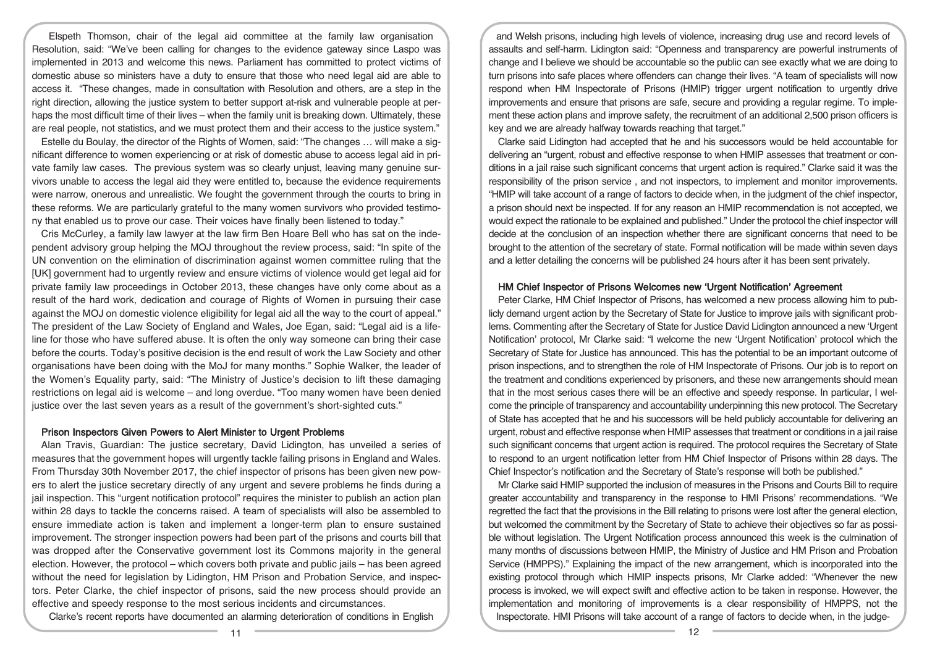Elspeth Thomson, chair of the legal aid committee at the family law organisation Resolution, said: "We've been calling for changes to the evidence gateway since Laspo was implemented in 2013 and welcome this news. Parliament has committed to protect victims of domestic abuse so ministers have a duty to ensure that those who need legal aid are able to access it. "These changes, made in consultation with Resolution and others, are a step in the right direction, allowing the justice system to better support at-risk and vulnerable people at perhaps the most difficult time of their lives – when the family unit is breaking down. Ultimately, these are real people, not statistics, and we must protect them and their access to the justice system."

Estelle du Boulay, the director of the Rights of Women, said: "The changes … will make a significant difference to women experiencing or at risk of domestic abuse to access legal aid in private family law cases. The previous system was so clearly unjust, leaving many genuine survivors unable to access the legal aid they were entitled to, because the evidence requirements were narrow, onerous and unrealistic. We fought the government through the courts to bring in these reforms. We are particularly grateful to the many women survivors who provided testimony that enabled us to prove our case. Their voices have finally been listened to today."

Cris McCurley, a family law lawyer at the law firm Ben Hoare Bell who has sat on the independent advisory group helping the MOJ throughout the review process, said: "In spite of the UN convention on the elimination of discrimination against women committee ruling that the [UK] government had to urgently review and ensure victims of violence would get legal aid for private family law proceedings in October 2013, these changes have only come about as a result of the hard work, dedication and courage of Rights of Women in pursuing their case against the MOJ on domestic violence eligibility for legal aid all the way to the court of appeal." The president of the Law Society of England and Wales, Joe Egan, said: "Legal aid is a lifeline for those who have suffered abuse. It is often the only way someone can bring their case before the courts. Today's positive decision is the end result of work the Law Society and other organisations have been doing with the MoJ for many months." Sophie Walker, the leader of the Women's Equality party, said: "The Ministry of Justice's decision to lift these damaging restrictions on legal aid is welcome – and long overdue. "Too many women have been denied justice over the last seven years as a result of the government's short-sighted cuts."

## Prison Inspectors Given Powers to Alert Minister to Urgent Problems

Alan Travis, Guardian: The justice secretary, David Lidington, has unveiled a series of measures that the government hopes will urgently tackle failing prisons in England and Wales. From Thursday 30th November 2017, the chief inspector of prisons has been given new powers to alert the justice secretary directly of any urgent and severe problems he finds during a jail inspection. This "urgent notification protocol" requires the minister to publish an action plan within 28 days to tackle the concerns raised. A team of specialists will also be assembled to ensure immediate action is taken and implement a longer-term plan to ensure sustained improvement. The stronger inspection powers had been part of the prisons and courts bill that was dropped after the Conservative government lost its Commons majority in the general election. However, the protocol – which covers both private and public jails – has been agreed without the need for legislation by Lidington, HM Prison and Probation Service, and inspectors. Peter Clarke, the chief inspector of prisons, said the new process should provide an effective and speedy response to the most serious incidents and circumstances.

Clarke's recent reports have documented an alarming deterioration of conditions in English

and Welsh prisons, including high levels of violence, increasing drug use and record levels of assaults and self-harm. Lidington said: "Openness and transparency are powerful instruments of change and I believe we should be accountable so the public can see exactly what we are doing to turn prisons into safe places where offenders can change their lives. "A team of specialists will now respond when HM Inspectorate of Prisons (HMIP) trigger urgent notification to urgently drive improvements and ensure that prisons are safe, secure and providing a regular regime. To implement these action plans and improve safety, the recruitment of an additional 2,500 prison officers is key and we are already halfway towards reaching that target."

Clarke said Lidington had accepted that he and his successors would be held accountable for delivering an "urgent, robust and effective response to when HMIP assesses that treatment or conditions in a jail raise such significant concerns that urgent action is required." Clarke said it was the responsibility of the prison service , and not inspectors, to implement and monitor improvements. "HMIP will take account of a range of factors to decide when, in the judgment of the chief inspector, a prison should next be inspected. If for any reason an HMIP recommendation is not accepted, we would expect the rationale to be explained and published." Under the protocol the chief inspector will decide at the conclusion of an inspection whether there are significant concerns that need to be brought to the attention of the secretary of state. Formal notification will be made within seven days and a letter detailing the concerns will be published 24 hours after it has been sent privately.

## HM Chief Inspector of Prisons Welcomes new 'Urgent Notification' Agreement

Peter Clarke, HM Chief Inspector of Prisons, has welcomed a new process allowing him to publicly demand urgent action by the Secretary of State for Justice to improve jails with significant problems. Commenting after the Secretary of State for Justice David Lidington announced a new 'Urgent Notification' protocol, Mr Clarke said: "I welcome the new 'Urgent Notification' protocol which the Secretary of State for Justice has announced. This has the potential to be an important outcome of prison inspections, and to strengthen the role of HM Inspectorate of Prisons. Our job is to report on the treatment and conditions experienced by prisoners, and these new arrangements should mean that in the most serious cases there will be an effective and speedy response. In particular, I welcome the principle of transparency and accountability underpinning this new protocol. The Secretary of State has accepted that he and his successors will be held publicly accountable for delivering an urgent, robust and effective response when HMIP assesses that treatment or conditions in a jail raise such significant concerns that urgent action is required. The protocol requires the Secretary of State to respond to an urgent notification letter from HM Chief Inspector of Prisons within 28 days. The Chief Inspector's notification and the Secretary of State's response will both be published."

Mr Clarke said HMIP supported the inclusion of measures in the Prisons and Courts Bill to require greater accountability and transparency in the response to HMI Prisons' recommendations. "We regretted the fact that the provisions in the Bill relating to prisons were lost after the general election, but welcomed the commitment by the Secretary of State to achieve their objectives so far as possible without legislation. The Urgent Notification process announced this week is the culmination of many months of discussions between HMIP, the Ministry of Justice and HM Prison and Probation Service (HMPPS)." Explaining the impact of the new arrangement, which is incorporated into the existing protocol through which HMIP inspects prisons, Mr Clarke added: "Whenever the new process is invoked, we will expect swift and effective action to be taken in response. However, the implementation and monitoring of improvements is a clear responsibility of HMPPS, not the Inspectorate. HMI Prisons will take account of a range of factors to decide when, in the judge-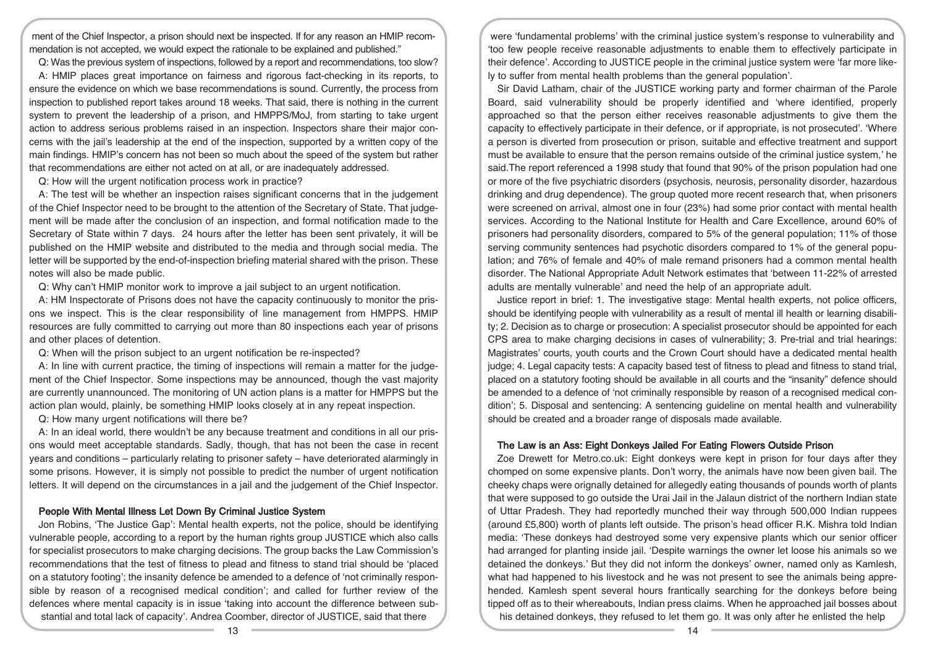ment of the Chief Inspector, a prison should next be inspected. If for any reason an HMIP recommendation is not accepted, we would expect the rationale to be explained and published."

Q: Was the previous system of inspections, followed by a report and recommendations, too slow? A: HMIP places great importance on fairness and rigorous fact-checking in its reports, to ensure the evidence on which we base recommendations is sound. Currently, the process from inspection to published report takes around 18 weeks. That said, there is nothing in the current system to prevent the leadership of a prison, and HMPPS/MoJ, from starting to take urgent action to address serious problems raised in an inspection. Inspectors share their major concerns with the jail's leadership at the end of the inspection, supported by a written copy of the main findings. HMIP's concern has not been so much about the speed of the system but rather that recommendations are either not acted on at all, or are inadequately addressed.

Q: How will the urgent notification process work in practice?

A: The test will be whether an inspection raises significant concerns that in the judgement of the Chief Inspector need to be brought to the attention of the Secretary of State. That judgement will be made after the conclusion of an inspection, and formal notification made to the Secretary of State within 7 days. 24 hours after the letter has been sent privately, it will be published on the HMIP website and distributed to the media and through social media. The letter will be supported by the end-of-inspection briefing material shared with the prison. These notes will also be made public.

Q: Why can't HMIP monitor work to improve a jail subject to an urgent notification.

A: HM Inspectorate of Prisons does not have the capacity continuously to monitor the prisons we inspect. This is the clear responsibility of line management from HMPPS. HMIP resources are fully committed to carrying out more than 80 inspections each year of prisons and other places of detention.

Q: When will the prison subject to an urgent notification be re-inspected?

A: In line with current practice, the timing of inspections will remain a matter for the judgement of the Chief Inspector. Some inspections may be announced, though the vast majority are currently unannounced. The monitoring of UN action plans is a matter for HMPPS but the action plan would, plainly, be something HMIP looks closely at in any repeat inspection.

Q: How many urgent notifications will there be?

A: In an ideal world, there wouldn't be any because treatment and conditions in all our prisons would meet acceptable standards. Sadly, though, that has not been the case in recent years and conditions – particularly relating to prisoner safety – have deteriorated alarmingly in some prisons. However, it is simply not possible to predict the number of urgent notification letters. It will depend on the circumstances in a jail and the judgement of the Chief Inspector.

#### People With Mental Illness Let Down By Criminal Justice System

Jon Robins, 'The Justice Gap': Mental health experts, not the police, should be identifying vulnerable people, according to a report by the human rights group JUSTICE which also calls for specialist prosecutors to make charging decisions. The group backs the Law Commission's recommendations that the test of fitness to plead and fitness to stand trial should be 'placed on a statutory footing'; the insanity defence be amended to a defence of 'not criminally responsible by reason of a recognised medical condition'; and called for further review of the defences where mental capacity is in issue 'taking into account the difference between substantial and total lack of capacity'. Andrea Coomber, director of JUSTICE, said that there

were 'fundamental problems' with the criminal justice system's response to vulnerability and 'too few people receive reasonable adjustments to enable them to effectively participate in their defence'. According to JUSTICE people in the criminal justice system were 'far more likely to suffer from mental health problems than the general population'.

Sir David Latham, chair of the JUSTICE working party and former chairman of the Parole Board, said vulnerability should be properly identified and 'where identified, properly approached so that the person either receives reasonable adjustments to give them the capacity to effectively participate in their defence, or if appropriate, is not prosecuted'. 'Where a person is diverted from prosecution or prison, suitable and effective treatment and support must be available to ensure that the person remains outside of the criminal justice system,' he said.The report referenced a 1998 study that found that 90% of the prison population had one or more of the five psychiatric disorders (psychosis, neurosis, personality disorder, hazardous drinking and drug dependence). The group quoted more recent research that, when prisoners were screened on arrival, almost one in four (23%) had some prior contact with mental health services. According to the National Institute for Health and Care Excellence, around 60% of prisoners had personality disorders, compared to 5% of the general population; 11% of those serving community sentences had psychotic disorders compared to 1% of the general population; and 76% of female and 40% of male remand prisoners had a common mental health disorder. The National Appropriate Adult Network estimates that 'between 11-22% of arrested adults are mentally vulnerable' and need the help of an appropriate adult.

Justice report in brief: 1. The investigative stage: Mental health experts, not police officers, should be identifying people with vulnerability as a result of mental ill health or learning disability; 2. Decision as to charge or prosecution: A specialist prosecutor should be appointed for each CPS area to make charging decisions in cases of vulnerability; 3. Pre-trial and trial hearings: Magistrates' courts, youth courts and the Crown Court should have a dedicated mental health judge; 4. Legal capacity tests: A capacity based test of fitness to plead and fitness to stand trial, placed on a statutory footing should be available in all courts and the "insanity" defence should be amended to a defence of 'not criminally responsible by reason of a recognised medical condition'; 5. Disposal and sentencing: A sentencing guideline on mental health and vulnerability should be created and a broader range of disposals made available.

#### The Law is an Ass: Eight Donkeys Jailed For Eating Flowers Outside Prison

Zoe Drewett for Metro.co.uk: Eight donkeys were kept in prison for four days after they chomped on some expensive plants. Don't worry, the animals have now been given bail. The cheeky chaps were orignally detained for allegedly eating thousands of pounds worth of plants that were supposed to go outside the Urai Jail in the Jalaun district of the northern Indian state of Uttar Pradesh. They had reportedly munched their way through 500,000 Indian ruppees (around £5,800) worth of plants left outside. The prison's head officer R.K. Mishra told Indian media: 'These donkeys had destroyed some very expensive plants which our senior officer had arranged for planting inside jail. 'Despite warnings the owner let loose his animals so we detained the donkeys.' But they did not inform the donkeys' owner, named only as Kamlesh, what had happened to his livestock and he was not present to see the animals being apprehended. Kamlesh spent several hours frantically searching for the donkeys before being tipped off as to their whereabouts, Indian press claims. When he approached jail bosses about his detained donkeys, they refused to let them go. It was only after he enlisted the help